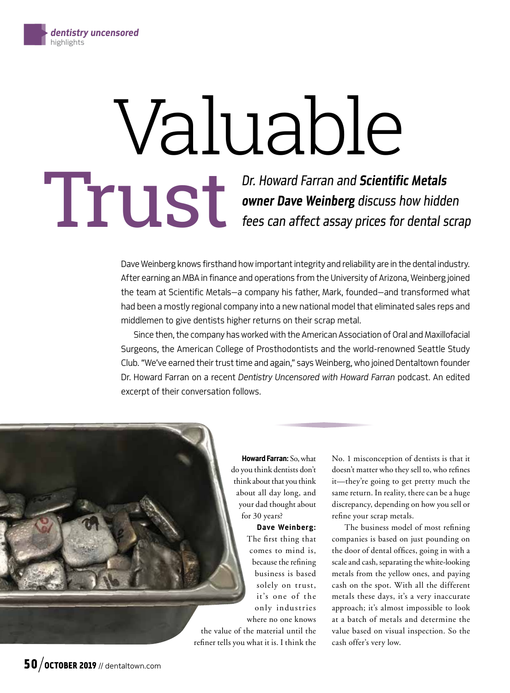# Valuable

*Dr. Howard Farran and Scientific Metals owner Dave Weinberg discuss how hidden* **fees can affect assay prices for dental scrap** 

Dave Weinberg knows firsthand how important integrity and reliability are in the dental industry. After earning an MBA in finance and operations from the University of Arizona, Weinberg joined the team at Scientific Metals—a company his father, Mark, founded—and transformed what had been a mostly regional company into a new national model that eliminated sales reps and middlemen to give dentists higher returns on their scrap metal.

Since then, the company has worked with the American Association of Oral and Maxillofacial Surgeons, the American College of Prosthodontists and the world-renowned Seattle Study Club. "We've earned their trust time and again," says Weinberg, who joined Dentaltown founder Dr. Howard Farran on a recent *Dentistry Uncensored with Howard Farran* podcast. An edited excerpt of their conversation follows.

> Howard Farran: So, what do you think dentists don't think about that you think about all day long, and your dad thought about for 30 years?

> > Dave Weinberg: The first thing that comes to mind is, because the refining business is based solely on trust, it's one of the only industries where no one knows

the value of the material until the refiner tells you what it is. I think the

No. 1 misconception of dentists is that it doesn't matter who they sell to, who refines it—they're going to get pretty much the same return. In reality, there can be a huge discrepancy, depending on how you sell or refine your scrap metals.

The business model of most refining companies is based on just pounding on the door of dental offices, going in with a scale and cash, separating the white-looking metals from the yellow ones, and paying cash on the spot. With all the different metals these days, it's a very inaccurate approach; it's almost impossible to look at a batch of metals and determine the value based on visual inspection. So the cash offer's very low.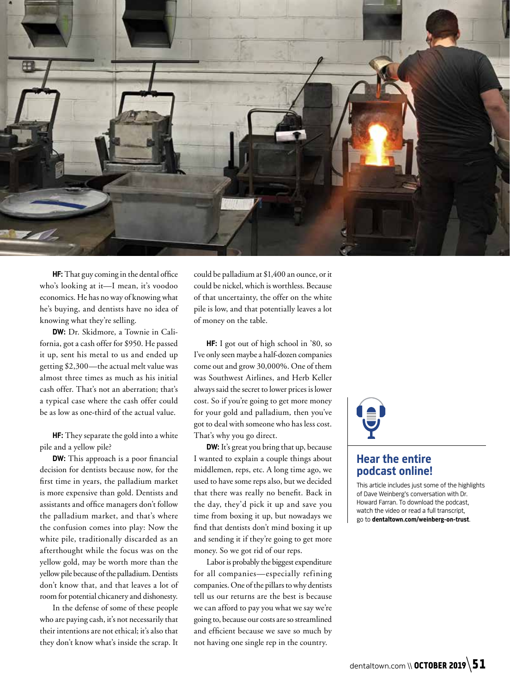

HF: That guy coming in the dental office who's looking at it—I mean, it's voodoo economics. He has no way of knowing what he's buying, and dentists have no idea of knowing what they're selling.

DW: Dr. Skidmore, a Townie in California, got a cash offer for \$950. He passed it up, sent his metal to us and ended up getting \$2,300—the actual melt value was almost three times as much as his initial cash offer. That's not an aberration; that's a typical case where the cash offer could be as low as one-third of the actual value.

HF: They separate the gold into a white pile and a yellow pile?

**DW:** This approach is a poor financial decision for dentists because now, for the first time in years, the palladium market is more expensive than gold. Dentists and assistants and office managers don't follow the palladium market, and that's where the confusion comes into play: Now the white pile, traditionally discarded as an afterthought while the focus was on the yellow gold, may be worth more than the yellow pile because of the palladium. Dentists don't know that, and that leaves a lot of room for potential chicanery and dishonesty.

In the defense of some of these people who are paying cash, it's not necessarily that their intentions are not ethical; it's also that they don't know what's inside the scrap. It could be palladium at \$1,400 an ounce, or it could be nickel, which is worthless. Because of that uncertainty, the offer on the white pile is low, and that potentially leaves a lot of money on the table.

HF: I got out of high school in '80, so I've only seen maybe a half-dozen companies come out and grow 30,000%. One of them was Southwest Airlines, and Herb Keller always said the secret to lower prices is lower cost. So if you're going to get more money for your gold and palladium, then you've got to deal with someone who has less cost. That's why you go direct.

DW: It's great you bring that up, because I wanted to explain a couple things about middlemen, reps, etc. A long time ago, we used to have some reps also, but we decided that there was really no benefit. Back in the day, they'd pick it up and save you time from boxing it up, but nowadays we find that dentists don't mind boxing it up and sending it if they're going to get more money. So we got rid of our reps.

Labor is probably the biggest expenditure for all companies—especially refining companies. One of the pillars to why dentists tell us our returns are the best is because we can afford to pay you what we say we're going to, because our costs are so streamlined and efficient because we save so much by not having one single rep in the country.

# Hear the entire podcast online!

This article includes just some of the highlights of Dave Weinberg's conversation with Dr. Howard Farran. To download the podcast, watch the video or read a full transcript, go to dentaltown.com/weinberg-on-trust.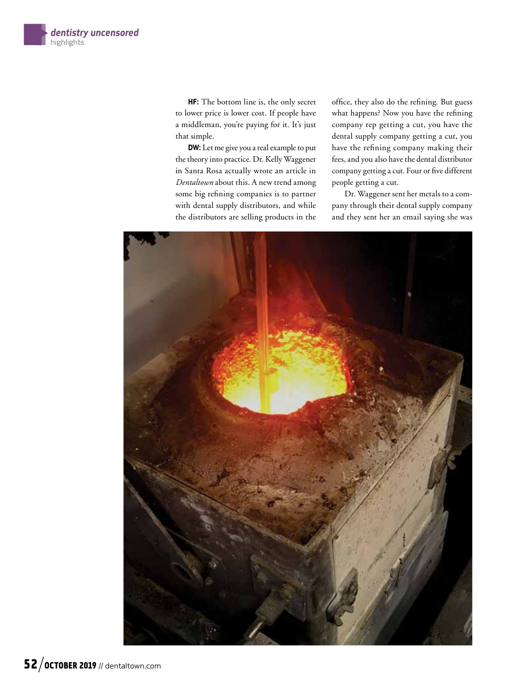HF: The bottom line is, the only secret to lower price is lower cost. If people have a middleman, you're paying for it. It's just that simple.

DW: Let me give you a real example to put the theory into practice. Dr. Kelly Waggener in Santa Rosa actually wrote an article in *Dentaltown* about this. A new trend among some big refining companies is to partner with dental supply distributors, and while the distributors are selling products in the

office, they also do the refining. But guess what happens? Now you have the refining company rep getting a cut, you have the dental supply company getting a cut, you have the refining company making their fees, and you also have the dental distributor company getting a cut. Four or five different people getting a cut.

Dr. Waggener sent her metals to a company through their dental supply company and they sent her an email saying she was